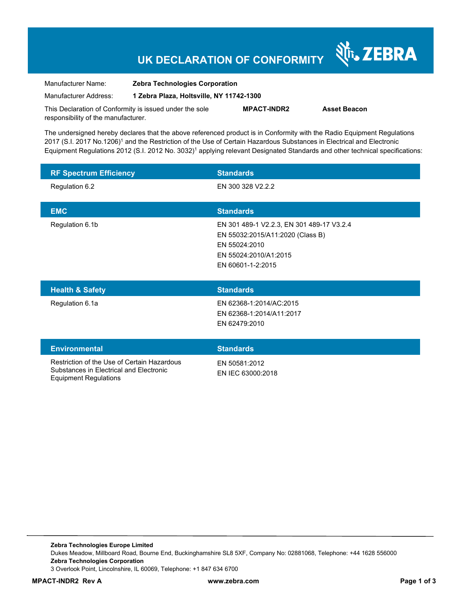# **UK DECLARATION OF CONFORMITY**

| Manufacturer Name:    | Zebra Technologies Corporation           |  |
|-----------------------|------------------------------------------|--|
| Manufacturer Address: | 1 Zebra Plaza, Holtsville, NY 11742-1300 |  |
|                       | <b>************</b>                      |  |

This Declaration of Conformity is issued under the sole responsibility of the manufacturer.

**MPACT-INDR2 Asset Beacon** 

श्री<sub>1</sub>, ZEBRA

The undersigned hereby declares that the above referenced product is in Conformity with the Radio Equipment Regulations 2017 (S.I. 2017 No.1206)<sup>1</sup> and the Restriction of the Use of Certain Hazardous Substances in Electrical and Electronic Equipment Regulations 2012 (S.I. 2012 No. 3032)<sup>1</sup> applying relevant Designated Standards and other technical specifications:

| <b>RF Spectrum Efficiency</b>                                                                                          | <b>Standards</b>                                                                                                                             |
|------------------------------------------------------------------------------------------------------------------------|----------------------------------------------------------------------------------------------------------------------------------------------|
| Regulation 6.2                                                                                                         | EN 300 328 V2.2.2                                                                                                                            |
| <b>EMC</b>                                                                                                             | <b>Standards</b>                                                                                                                             |
| Regulation 6.1b                                                                                                        | EN 301 489-1 V2.2.3, EN 301 489-17 V3.2.4<br>EN 55032:2015/A11:2020 (Class B)<br>EN 55024:2010<br>EN 55024:2010/A1:2015<br>EN 60601-1-2:2015 |
| <b>Health &amp; Safety</b>                                                                                             | <b>Standards</b>                                                                                                                             |
| Regulation 6.1a                                                                                                        | EN 62368-1:2014/AC:2015<br>EN 62368-1:2014/A11:2017<br>EN 62479:2010                                                                         |
| <b>Environmental</b>                                                                                                   | <b>Standards</b>                                                                                                                             |
| Restriction of the Use of Certain Hazardous<br>Substances in Electrical and Electronic<br><b>Equipment Regulations</b> | EN 50581:2012<br>EN IEC 63000:2018                                                                                                           |

**Zebra Technologies Europe Limited**  Dukes Meadow, Millboard Road, Bourne End, Buckinghamshire SL8 5XF, Company No: 02881068, Telephone: +44 1628 556000 **Zebra Technologies Corporation**  3 Overlook Point, Lincolnshire, IL 60069, Telephone: +1 847 634 6700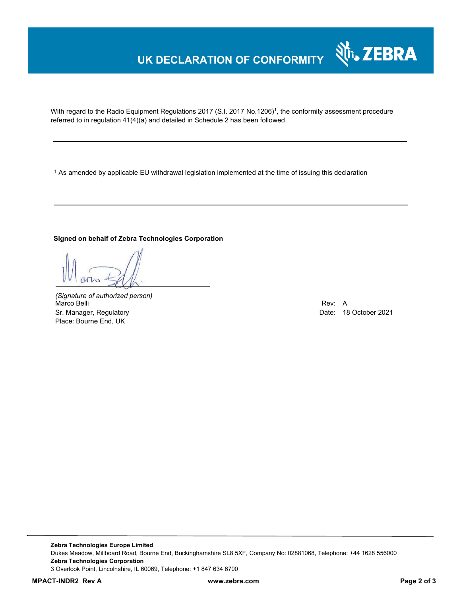### **UK DECLARATION OF CONFORMITY**

With regard to the Radio Equipment Regulations 2017 (S.I. 2017 No.1206)<sup>1</sup>, the conformity assessment procedure referred to in regulation 41(4)(a) and detailed in Schedule 2 has been followed.

1 As amended by applicable EU withdrawal legislation implemented at the time of issuing this declaration

#### **Signed on behalf of Zebra Technologies Corporation**

*(Signature of authorized person)* Marco Belli Rev: A Sr. Manager, Regulatory Date: 18 October 2021 Place: Bourne End, UK

Nr. ZEBRA

**Zebra Technologies Europe Limited**  Dukes Meadow, Millboard Road, Bourne End, Buckinghamshire SL8 5XF, Company No: 02881068, Telephone: +44 1628 556000 **Zebra Technologies Corporation**  3 Overlook Point, Lincolnshire, IL 60069, Telephone: +1 847 634 6700